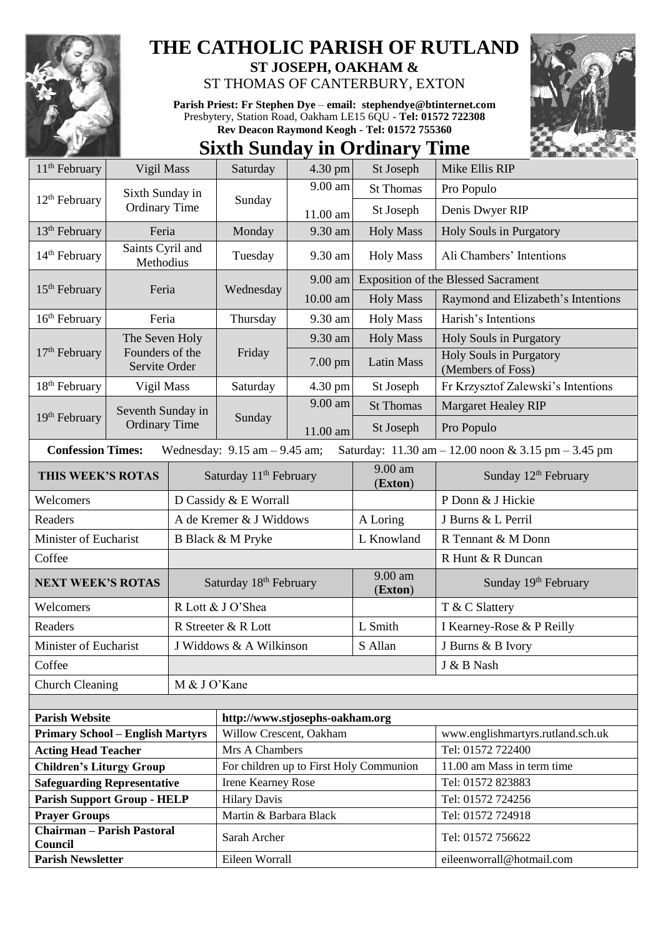

## **THE CATHOLIC PARISH OF RUTLAND**

**ST JOSEPH, OAKHAM &**  ST THOMAS OF CANTERBURY, EXTON

**Parish Priest: Fr Stephen Dye** – **[email: stephendye@btinternet.com](mailto:email:%20%20stephendye@btinternet.com)** Presbytery, Station Road, Oakham LE15 6QU - **Tel: 01572 722308 Rev Deacon Raymond Keogh - Tel: 01572 755360**

## **Sixth Sunday in Ordinary Time**

| $11th$ February                                                       | Vigil Mass                              |                         | Saturday                                      | 4.30 pm   | St Joseph                       | Mike Ellis RIP                                                                         |
|-----------------------------------------------------------------------|-----------------------------------------|-------------------------|-----------------------------------------------|-----------|---------------------------------|----------------------------------------------------------------------------------------|
|                                                                       | Sixth Sunday in<br><b>Ordinary Time</b> |                         | Sunday                                        | 9.00 am   | <b>St Thomas</b>                | Pro Populo                                                                             |
| 12 <sup>th</sup> February                                             |                                         |                         |                                               | 11.00 am  | St Joseph                       | Denis Dwyer RIP                                                                        |
| 13 <sup>th</sup> February                                             | Feria                                   |                         | Monday                                        | 9.30 am   | <b>Holy Mass</b>                | Holy Souls in Purgatory                                                                |
| Saints Cyril and<br>14 <sup>th</sup> February<br>Methodius            |                                         |                         | Tuesday                                       | 9.30 am   | <b>Holy Mass</b>                | Ali Chambers' Intentions                                                               |
| $15th$ February                                                       | Feria                                   |                         |                                               | $9.00$ am |                                 | <b>Exposition of the Blessed Sacrament</b>                                             |
|                                                                       |                                         |                         | Wednesday                                     | 10.00 am  | <b>Holy Mass</b>                | Raymond and Elizabeth's Intentions                                                     |
| 16 <sup>th</sup> February                                             | Feria                                   |                         | Thursday                                      | 9.30 am   | <b>Holy Mass</b>                | Harish's Intentions                                                                    |
|                                                                       | The Seven Holy                          |                         | Friday                                        | 9.30 am   | <b>Holy Mass</b>                | Holy Souls in Purgatory                                                                |
| Founders of the<br>$17th$ February<br>Servite Order                   |                                         |                         |                                               | 7.00 pm   | <b>Latin Mass</b>               | Holy Souls in Purgatory<br>(Members of Foss)                                           |
| 18 <sup>th</sup> February                                             | Vigil Mass                              |                         | Saturday                                      | 4.30 pm   | St Joseph                       | Fr Krzysztof Zalewski's Intentions                                                     |
|                                                                       | Seventh Sunday in                       |                         |                                               | 9.00 am   | <b>St Thomas</b>                | <b>Margaret Healey RIP</b>                                                             |
| 19 <sup>th</sup> February                                             | <b>Ordinary Time</b>                    |                         | Sunday                                        | 11.00 am  | St Joseph                       | Pro Populo                                                                             |
| <b>Confession Times:</b>                                              |                                         |                         | Wednesday: $9.15$ am $- 9.45$ am;             |           |                                 | Saturday: $11.30 \text{ am} - 12.00 \text{ noon} \& 3.15 \text{ pm} - 3.45 \text{ pm}$ |
| THIS WEEK'S ROTAS                                                     |                                         |                         | Saturday 11 <sup>th</sup> February            |           | $\overline{9.00}$ am<br>(Exton) | Sunday 12 <sup>th</sup> February                                                       |
| Welcomers                                                             |                                         |                         | D Cassidy & E Worrall                         |           |                                 | P Donn & J Hickie                                                                      |
| Readers                                                               |                                         | A de Kremer & J Widdows |                                               |           | A Loring                        | J Burns & L Perril                                                                     |
| Minister of Eucharist                                                 |                                         | B Black & M Pryke       |                                               |           | L Knowland                      | R Tennant & M Donn                                                                     |
| Coffee                                                                |                                         |                         |                                               |           |                                 | R Hunt & R Duncan                                                                      |
| <b>NEXT WEEK'S ROTAS</b>                                              |                                         |                         | Saturday 18th February                        |           | 9.00 am<br>(Exton)              | Sunday 19th February                                                                   |
| Welcomers                                                             |                                         |                         | R Lott & J O'Shea                             |           |                                 | T & C Slattery                                                                         |
| Readers                                                               |                                         | R Streeter & R Lott     |                                               |           | L Smith                         | I Kearney-Rose & P Reilly                                                              |
| Minister of Eucharist                                                 |                                         | J Widdows & A Wilkinson |                                               |           | S Allan                         | J Burns & B Ivory                                                                      |
| Coffee                                                                |                                         |                         |                                               |           |                                 | J & B Nash                                                                             |
| <b>Church Cleaning</b>                                                |                                         | M & J O'Kane            |                                               |           |                                 |                                                                                        |
|                                                                       |                                         |                         |                                               |           |                                 |                                                                                        |
| <b>Parish Website</b>                                                 |                                         |                         | http://www.stjosephs-oakham.org               |           |                                 |                                                                                        |
| <b>Primary School - English Martyrs</b>                               |                                         |                         | Willow Crescent, Oakham                       |           |                                 | www.englishmartyrs.rutland.sch.uk                                                      |
| <b>Acting Head Teacher</b>                                            |                                         |                         | Mrs A Chambers                                |           |                                 | Tel: 01572 722400                                                                      |
| <b>Children's Liturgy Group</b><br><b>Safeguarding Representative</b> |                                         |                         | For children up to First Holy Communion       |           |                                 | 11.00 am Mass in term time                                                             |
|                                                                       |                                         |                         | Irene Kearney Rose                            |           |                                 | Tel: 01572 823883<br>Tel: 01572 724256                                                 |
| <b>Parish Support Group - HELP</b><br><b>Prayer Groups</b>            |                                         |                         | <b>Hilary Davis</b><br>Martin & Barbara Black |           |                                 | Tel: 01572 724918                                                                      |
| <b>Chairman - Parish Pastoral</b>                                     |                                         |                         |                                               |           |                                 |                                                                                        |
| Council                                                               |                                         |                         | Sarah Archer                                  |           |                                 | Tel: 01572 756622                                                                      |
| <b>Parish Newsletter</b>                                              |                                         |                         | Eileen Worrall                                |           |                                 | eileenworrall@hotmail.com                                                              |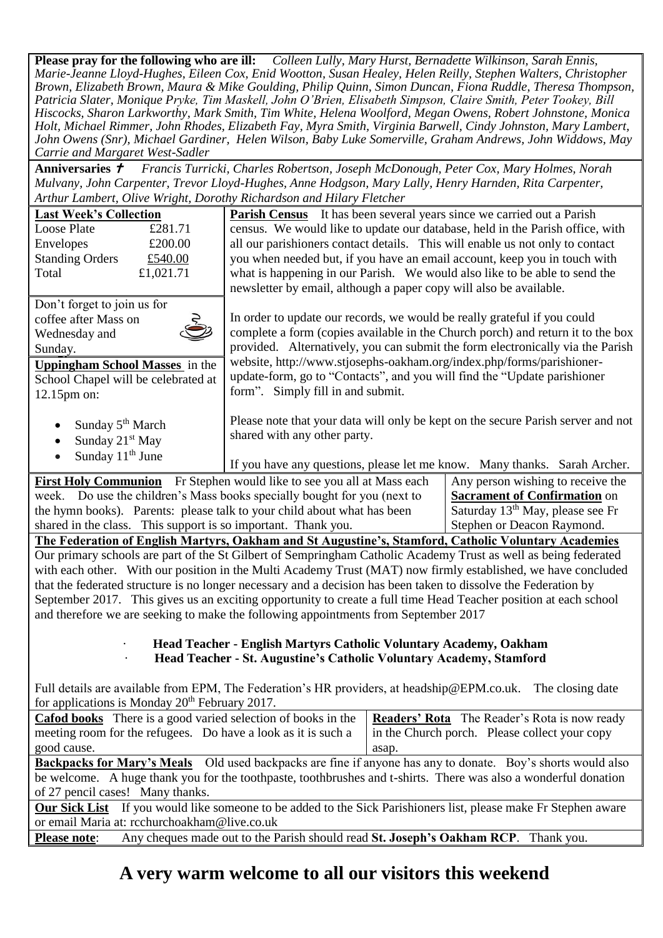**Please pray for the following who are ill:** *Colleen Lully, Mary Hurst, Bernadette Wilkinson, Sarah Ennis, Marie-Jeanne Lloyd-Hughes, Eileen Cox, Enid Wootton, Susan Healey, Helen Reilly, Stephen Walters, Christopher Brown, Elizabeth Brown, Maura & Mike Goulding, Philip Quinn, Simon Duncan, Fiona Ruddle, Theresa Thompson, Patricia Slater, Monique Pryke, Tim Maskell, John O'Brien, Elisabeth Simpson, Claire Smith, Peter Tookey, Bill Hiscocks, Sharon Larkworthy, Mark Smith, Tim White, Helena Woolford, Megan Owens, Robert Johnstone, Monica Holt, Michael Rimmer, John Rhodes, Elizabeth Fay, Myra Smith, Virginia Barwell, Cindy Johnston, Mary Lambert, John Owens (Snr), Michael Gardiner, Helen Wilson, Baby Luke Somerville, Graham Andrews, John Widdows, May Carrie and Margaret West-Sadler*

**Anniversaries**  *Francis Turricki, Charles Robertson, Joseph McDonough, Peter Cox, Mary Holmes, Norah Mulvany, John Carpenter, Trevor Lloyd-Hughes, Anne Hodgson, Mary Lally, Henry Harnden, Rita Carpenter, Arthur Lambert, Olive Wright, Dorothy Richardson and Hilary Fletcher*

| <b>Last Week's Collection</b>                                                                                   |           | <b>Parish Census</b> It has been several years since we carried out a Parish                                     |                                              |  |  |  |
|-----------------------------------------------------------------------------------------------------------------|-----------|------------------------------------------------------------------------------------------------------------------|----------------------------------------------|--|--|--|
| Loose Plate                                                                                                     | £281.71   | census. We would like to update our database, held in the Parish office, with                                    |                                              |  |  |  |
| Envelopes                                                                                                       | £200.00   | all our parishioners contact details. This will enable us not only to contact                                    |                                              |  |  |  |
| <b>Standing Orders</b>                                                                                          | £540.00   | you when needed but, if you have an email account, keep you in touch with                                        |                                              |  |  |  |
| Total                                                                                                           | £1,021.71 | what is happening in our Parish. We would also like to be able to send the                                       |                                              |  |  |  |
|                                                                                                                 |           | newsletter by email, although a paper copy will also be available.                                               |                                              |  |  |  |
| Don't forget to join us for                                                                                     |           |                                                                                                                  |                                              |  |  |  |
| coffee after Mass on                                                                                            |           | In order to update our records, we would be really grateful if you could                                         |                                              |  |  |  |
| Wednesday and                                                                                                   |           | complete a form (copies available in the Church porch) and return it to the box                                  |                                              |  |  |  |
| Sunday.                                                                                                         |           | provided. Alternatively, you can submit the form electronically via the Parish                                   |                                              |  |  |  |
| <b>Uppingham School Masses</b> in the                                                                           |           | website, http://www.stjosephs-oakham.org/index.php/forms/parishioner-                                            |                                              |  |  |  |
| School Chapel will be celebrated at                                                                             |           | update-form, go to "Contacts", and you will find the "Update parishioner                                         |                                              |  |  |  |
| 12.15pm on:                                                                                                     |           | form". Simply fill in and submit.                                                                                |                                              |  |  |  |
|                                                                                                                 |           |                                                                                                                  |                                              |  |  |  |
| Sunday 5 <sup>th</sup> March<br>$\bullet$                                                                       |           | Please note that your data will only be kept on the secure Parish server and not                                 |                                              |  |  |  |
| Sunday 21 <sup>st</sup> May<br>$\bullet$                                                                        |           | shared with any other party.                                                                                     |                                              |  |  |  |
| Sunday 11 <sup>th</sup> June                                                                                    |           |                                                                                                                  |                                              |  |  |  |
|                                                                                                                 |           | If you have any questions, please let me know. Many thanks. Sarah Archer.                                        |                                              |  |  |  |
|                                                                                                                 |           | <b>First Holy Communion</b> Fr Stephen would like to see you all at Mass each                                    | Any person wishing to receive the            |  |  |  |
|                                                                                                                 |           | week. Do use the children's Mass books specially bought for you (next to                                         | <b>Sacrament of Confirmation on</b>          |  |  |  |
|                                                                                                                 |           | the hymn books). Parents: please talk to your child about what has been                                          | Saturday 13 <sup>th</sup> May, please see Fr |  |  |  |
|                                                                                                                 |           | shared in the class. This support is so important. Thank you.                                                    | Stephen or Deacon Raymond.                   |  |  |  |
| The Federation of English Martyrs, Oakham and St Augustine's, Stamford, Catholic Voluntary Academies            |           |                                                                                                                  |                                              |  |  |  |
| Our primary schools are part of the St Gilbert of Sempringham Catholic Academy Trust as well as being federated |           |                                                                                                                  |                                              |  |  |  |
| with each other. With our position in the Multi Academy Trust (MAT) now firmly established, we have concluded   |           |                                                                                                                  |                                              |  |  |  |
| that the federated structure is no longer necessary and a decision has been taken to dissolve the Federation by |           |                                                                                                                  |                                              |  |  |  |
|                                                                                                                 |           | September 2017. This gives us an exciting opportunity to create a full time Head Teacher position at each school |                                              |  |  |  |
| and therefore we are seeking to make the following appointments from September 2017                             |           |                                                                                                                  |                                              |  |  |  |

## · **Head Teacher - English Martyrs Catholic Voluntary Academy, Oakham** · **Head Teacher - St. Augustine's Catholic Voluntary Academy, Stamford**

Full details are available from EPM, The Federation's HR providers, at [headship@EPM.co.uk.](mailto:headship@EPM.co.uk) The closing date for applications is Monday 20th February 2017.

| <b>Cafod books</b> There is a good varied selection of books in the                                                    | <b>Readers' Rota</b> The Reader's Rota is now ready |  |  |  |
|------------------------------------------------------------------------------------------------------------------------|-----------------------------------------------------|--|--|--|
| meeting room for the refugees. Do have a look as it is such a                                                          | in the Church porch. Please collect your copy       |  |  |  |
| good cause.                                                                                                            | asap.                                               |  |  |  |
| <b>Backpacks for Mary's Meals</b> Old used backpacks are fine if anyone has any to donate. Boy's shorts would also     |                                                     |  |  |  |
| be welcome. A huge thank you for the toothpaste, toothbrushes and t-shirts. There was also a wonderful donation        |                                                     |  |  |  |
| of 27 pencil cases! Many thanks.                                                                                       |                                                     |  |  |  |
| <b>Our Sick List</b> If you would like someone to be added to the Sick Parishioners list, please make Fr Stephen aware |                                                     |  |  |  |
| or email Maria at: rcchurchoakham@live.co.uk                                                                           |                                                     |  |  |  |
| Any cheques made out to the Parish should read St. Joseph's Oakham RCP. Thank you.<br><b>Please note:</b>              |                                                     |  |  |  |

## **A very warm welcome to all our visitors this weekend**